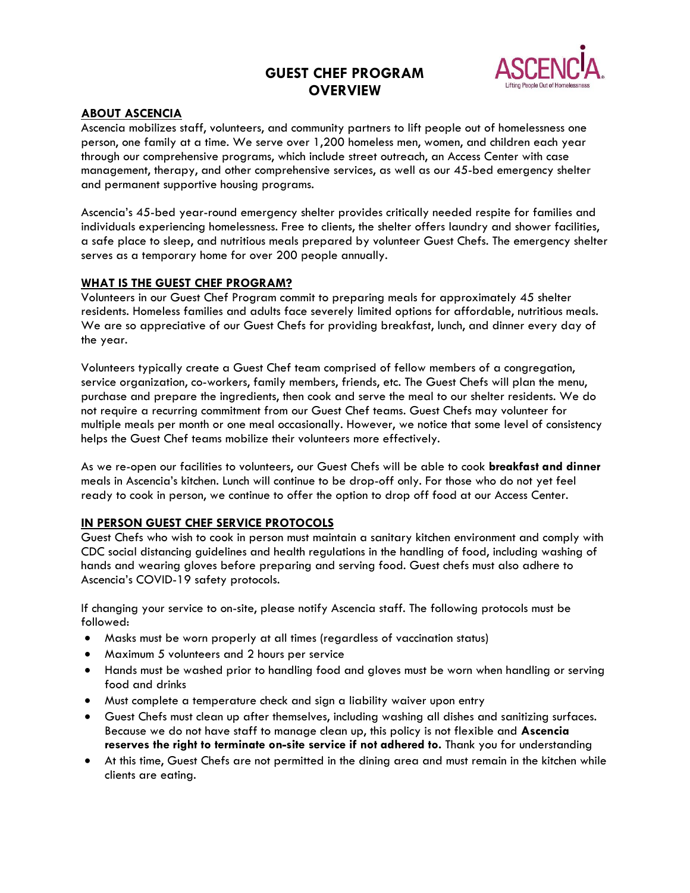# **GUEST CHEF PROGRAM OVERVIEW**



## **ABOUT ASCENCIA**

Ascencia mobilizes staff, volunteers, and community partners to lift people out of homelessness one person, one family at a time. We serve over 1,200 homeless men, women, and children each year through our comprehensive programs, which include street outreach, an Access Center with case management, therapy, and other comprehensive services, as well as our 45-bed emergency shelter and permanent supportive housing programs.

Ascencia's 45-bed year-round emergency shelter provides critically needed respite for families and individuals experiencing homelessness. Free to clients, the shelter offers laundry and shower facilities, a safe place to sleep, and nutritious meals prepared by volunteer Guest Chefs. The emergency shelter serves as a temporary home for over 200 people annually.

#### **WHAT IS THE GUEST CHEF PROGRAM?**

Volunteers in our Guest Chef Program commit to preparing meals for approximately 45 shelter residents. Homeless families and adults face severely limited options for affordable, nutritious meals. We are so appreciative of our Guest Chefs for providing breakfast, lunch, and dinner every day of the year.

Volunteers typically create a Guest Chef team comprised of fellow members of a congregation, service organization, co-workers, family members, friends, etc. The Guest Chefs will plan the menu, purchase and prepare the ingredients, then cook and serve the meal to our shelter residents. We do not require a recurring commitment from our Guest Chef teams. Guest Chefs may volunteer for multiple meals per month or one meal occasionally. However, we notice that some level of consistency helps the Guest Chef teams mobilize their volunteers more effectively.

As we re-open our facilities to volunteers, our Guest Chefs will be able to cook **breakfast and dinner** meals in Ascencia's kitchen. Lunch will continue to be drop-off only. For those who do not yet feel ready to cook in person, we continue to offer the option to drop off food at our Access Center.

## **IN PERSON GUEST CHEF SERVICE PROTOCOLS**

Guest Chefs who wish to cook in person must maintain a sanitary kitchen environment and comply with CDC social distancing guidelines and health regulations in the handling of food, including washing of hands and wearing gloves before preparing and serving food. Guest chefs must also adhere to Ascencia's COVID-19 safety protocols.

If changing your service to on-site, please notify Ascencia staff. The following protocols must be followed:

- Masks must be worn properly at all times (regardless of vaccination status)
- Maximum 5 volunteers and 2 hours per service
- Hands must be washed prior to handling food and gloves must be worn when handling or serving food and drinks
- Must complete a temperature check and sign a liability waiver upon entry
- Guest Chefs must clean up after themselves, including washing all dishes and sanitizing surfaces. Because we do not have staff to manage clean up, this policy is not flexible and **Ascencia reserves the right to terminate on-site service if not adhered to.** Thank you for understanding
- At this time, Guest Chefs are not permitted in the dining area and must remain in the kitchen while clients are eating.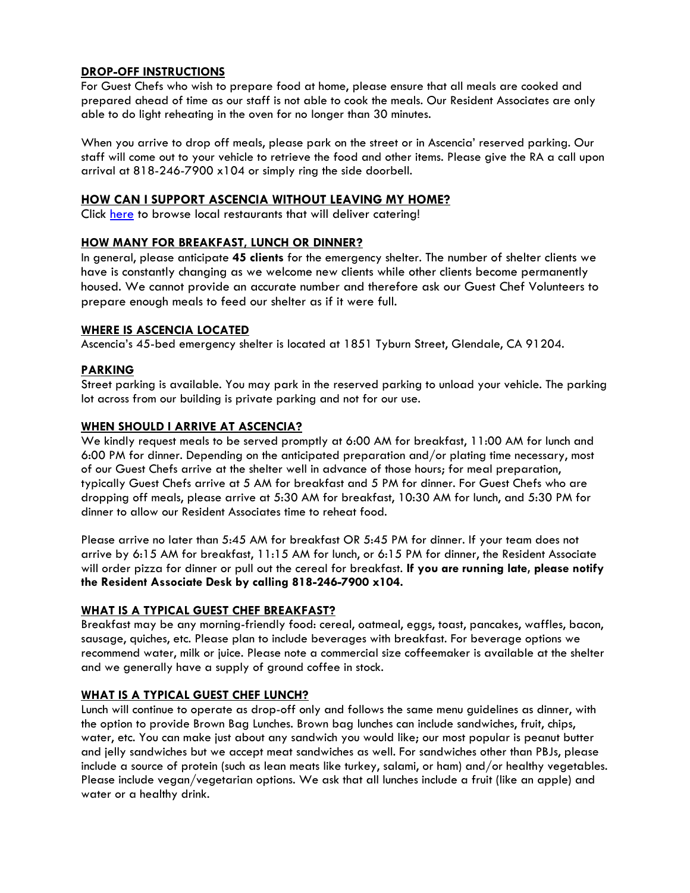## **DROP-OFF INSTRUCTIONS**

For Guest Chefs who wish to prepare food at home, please ensure that all meals are cooked and prepared ahead of time as our staff is not able to cook the meals. Our Resident Associates are only able to do light reheating in the oven for no longer than 30 minutes.

When you arrive to drop off meals, please park on the street or in Ascencia' reserved parking. Our staff will come out to your vehicle to retrieve the food and other items. Please give the RA a call upon arrival at 818-246-7900 x104 or simply ring the side doorbell.

## **HOW CAN I SUPPORT ASCENCIA WITHOUT LEAVING MY HOME?**

Click [here](https://www.ezcater.com/store/caterer_search/121939716) to browse local restaurants that will deliver catering!

## **HOW MANY FOR BREAKFAST, LUNCH OR DINNER?**

In general, please anticipate **45 clients** for the emergency shelter. The number of shelter clients we have is constantly changing as we welcome new clients while other clients become permanently housed. We cannot provide an accurate number and therefore ask our Guest Chef Volunteers to prepare enough meals to feed our shelter as if it were full.

## **WHERE IS ASCENCIA LOCATED**

Ascencia's 45-bed emergency shelter is located at 1851 Tyburn Street, Glendale, CA 91204.

## **PARKING**

Street parking is available. You may park in the reserved parking to unload your vehicle. The parking lot across from our building is private parking and not for our use.

## **WHEN SHOULD I ARRIVE AT ASCENCIA?**

We kindly request meals to be served promptly at 6:00 AM for breakfast, 11:00 AM for lunch and 6:00 PM for dinner. Depending on the anticipated preparation and/or plating time necessary, most of our Guest Chefs arrive at the shelter well in advance of those hours; for meal preparation, typically Guest Chefs arrive at 5 AM for breakfast and 5 PM for dinner. For Guest Chefs who are dropping off meals, please arrive at 5:30 AM for breakfast, 10:30 AM for lunch, and 5:30 PM for dinner to allow our Resident Associates time to reheat food.

Please arrive no later than 5:45 AM for breakfast OR 5:45 PM for dinner. If your team does not arrive by 6:15 AM for breakfast, 11:15 AM for lunch, or 6:15 PM for dinner, the Resident Associate will order pizza for dinner or pull out the cereal for breakfast. **If you are running late, please notify the Resident Associate Desk by calling 818-246-7900 x104.** 

## **WHAT IS A TYPICAL GUEST CHEF BREAKFAST?**

Breakfast may be any morning-friendly food: cereal, oatmeal, eggs, toast, pancakes, waffles, bacon, sausage, quiches, etc. Please plan to include beverages with breakfast. For beverage options we recommend water, milk or juice. Please note a commercial size coffeemaker is available at the shelter and we generally have a supply of ground coffee in stock.

## **WHAT IS A TYPICAL GUEST CHEF LUNCH?**

Lunch will continue to operate as drop-off only and follows the same menu guidelines as dinner, with the option to provide Brown Bag Lunches. Brown bag lunches can include sandwiches, fruit, chips, water, etc. You can make just about any sandwich you would like; our most popular is peanut butter and jelly sandwiches but we accept meat sandwiches as well. For sandwiches other than PBJs, please include a source of protein (such as lean meats like turkey, salami, or ham) and/or healthy vegetables. Please include vegan/vegetarian options. We ask that all lunches include a fruit (like an apple) and water or a healthy drink.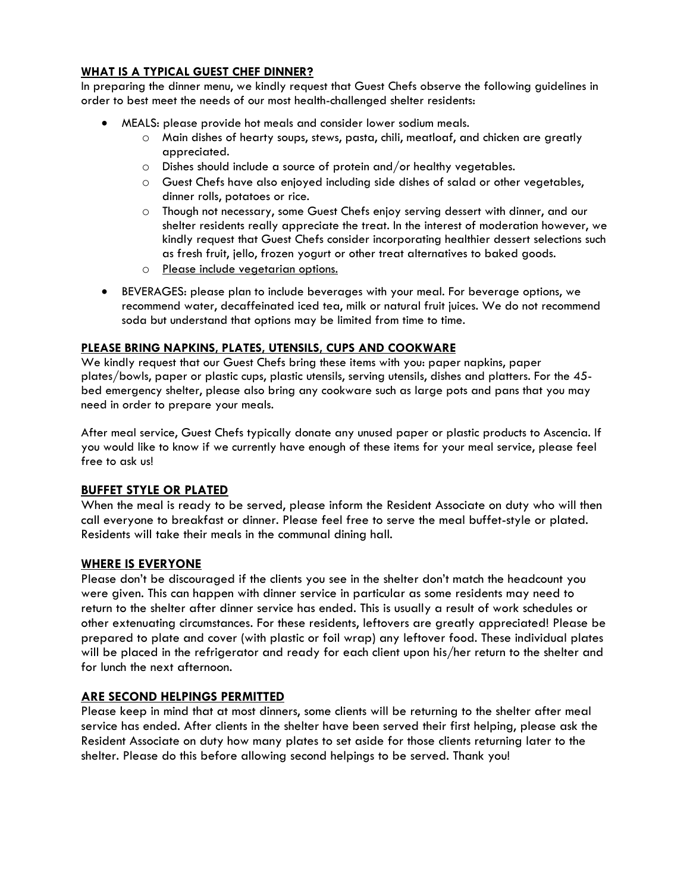## **WHAT IS A TYPICAL GUEST CHEF DINNER?**

In preparing the dinner menu, we kindly request that Guest Chefs observe the following guidelines in order to best meet the needs of our most health-challenged shelter residents:

- MEALS: please provide hot meals and consider lower sodium meals.
	- o Main dishes of hearty soups, stews, pasta, chili, meatloaf, and chicken are greatly appreciated.
	- o Dishes should include a source of protein and/or healthy vegetables.
	- o Guest Chefs have also enjoyed including side dishes of salad or other vegetables, dinner rolls, potatoes or rice.
	- o Though not necessary, some Guest Chefs enjoy serving dessert with dinner, and our shelter residents really appreciate the treat. In the interest of moderation however, we kindly request that Guest Chefs consider incorporating healthier dessert selections such as fresh fruit, jello, frozen yogurt or other treat alternatives to baked goods.
	- o Please include vegetarian options.
- BEVERAGES: please plan to include beverages with your meal. For beverage options, we recommend water, decaffeinated iced tea, milk or natural fruit juices. We do not recommend soda but understand that options may be limited from time to time.

## **PLEASE BRING NAPKINS, PLATES, UTENSILS, CUPS AND COOKWARE**

We kindly request that our Guest Chefs bring these items with you: paper napkins, paper plates/bowls, paper or plastic cups, plastic utensils, serving utensils, dishes and platters. For the 45 bed emergency shelter, please also bring any cookware such as large pots and pans that you may need in order to prepare your meals.

After meal service, Guest Chefs typically donate any unused paper or plastic products to Ascencia. If you would like to know if we currently have enough of these items for your meal service, please feel free to ask us!

## **BUFFET STYLE OR PLATED**

When the meal is ready to be served, please inform the Resident Associate on duty who will then call everyone to breakfast or dinner. Please feel free to serve the meal buffet-style or plated. Residents will take their meals in the communal dining hall.

## **WHERE IS EVERYONE**

Please don't be discouraged if the clients you see in the shelter don't match the headcount you were given. This can happen with dinner service in particular as some residents may need to return to the shelter after dinner service has ended. This is usually a result of work schedules or other extenuating circumstances. For these residents, leftovers are greatly appreciated! Please be prepared to plate and cover (with plastic or foil wrap) any leftover food. These individual plates will be placed in the refrigerator and ready for each client upon his/her return to the shelter and for lunch the next afternoon.

## **ARE SECOND HELPINGS PERMITTED**

Please keep in mind that at most dinners, some clients will be returning to the shelter after meal service has ended. After clients in the shelter have been served their first helping, please ask the Resident Associate on duty how many plates to set aside for those clients returning later to the shelter. Please do this before allowing second helpings to be served. Thank you!